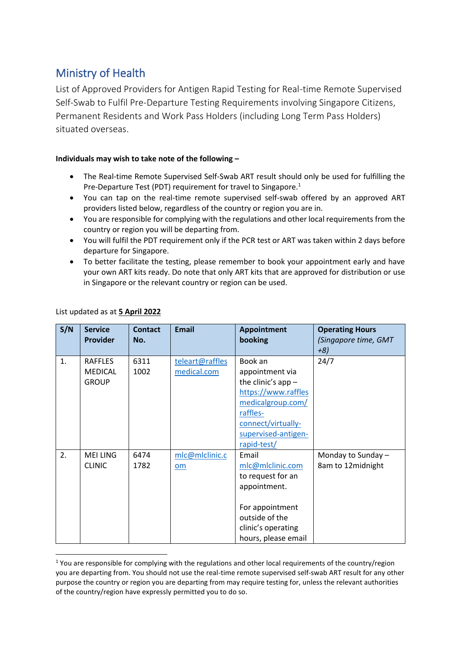## Ministry of Health

List of Approved Providers for Antigen Rapid Testing for Real-time Remote Supervised Self-Swab to Fulfil Pre-Departure Testing Requirements involving Singapore Citizens, Permanent Residents and Work Pass Holders (including Long Term Pass Holders) situated overseas.

## **Individuals may wish to take note of the following –**

- The Real-time Remote Supervised Self-Swab ART result should only be used for fulfilling the Pre-Departure Test (PDT) requirement for travel to Singapore.<sup>1</sup>
- You can tap on the real-time remote supervised self-swab offered by an approved ART providers listed below, regardless of the country or region you are in.
- You are responsible for complying with the regulations and other local requirements from the country or region you will be departing from.
- You will fulfil the PDT requirement only if the PCR test or ART was taken within 2 days before departure for Singapore.
- To better facilitate the testing, please remember to book your appointment early and have your own ART kits ready. Do note that only ART kits that are approved for distribution or use in Singapore or the relevant country or region can be used.

| S/N | <b>Service</b><br><b>Provider</b> | <b>Contact</b><br>No. | <b>Email</b>    | <b>Appointment</b><br>booking | <b>Operating Hours</b><br>(Singapore time, GMT<br>$+8)$ |
|-----|-----------------------------------|-----------------------|-----------------|-------------------------------|---------------------------------------------------------|
| 1.  | <b>RAFFLES</b>                    | 6311                  | teleart@raffles | Book an                       | 24/7                                                    |
|     | <b>MEDICAL</b>                    | 1002                  | medical.com     | appointment via               |                                                         |
|     | <b>GROUP</b>                      |                       |                 | the clinic's app $-$          |                                                         |
|     |                                   |                       |                 | https://www.raffles           |                                                         |
|     |                                   |                       |                 | medicalgroup.com/<br>raffles- |                                                         |
|     |                                   |                       |                 | connect/virtually-            |                                                         |
|     |                                   |                       |                 | supervised-antigen-           |                                                         |
|     |                                   |                       |                 | rapid-test/                   |                                                         |
| 2.  | <b>MEI LING</b>                   | 6474                  | mlc@mlclinic.c  | Email                         | Monday to Sunday -                                      |
|     | <b>CLINIC</b>                     | 1782                  | om              | mlc@mlclinic.com              | 8am to 12midnight                                       |
|     |                                   |                       |                 | to request for an             |                                                         |
|     |                                   |                       |                 | appointment.                  |                                                         |
|     |                                   |                       |                 |                               |                                                         |
|     |                                   |                       |                 | For appointment               |                                                         |
|     |                                   |                       |                 | outside of the                |                                                         |
|     |                                   |                       |                 | clinic's operating            |                                                         |
|     |                                   |                       |                 | hours, please email           |                                                         |

## List updated as at **5 April 2022**

<sup>&</sup>lt;sup>1</sup> You are responsible for complying with the regulations and other local requirements of the country/region you are departing from. You should not use the real-time remote supervised self-swab ART result for any other purpose the country or region you are departing from may require testing for, unless the relevant authorities of the country/region have expressly permitted you to do so.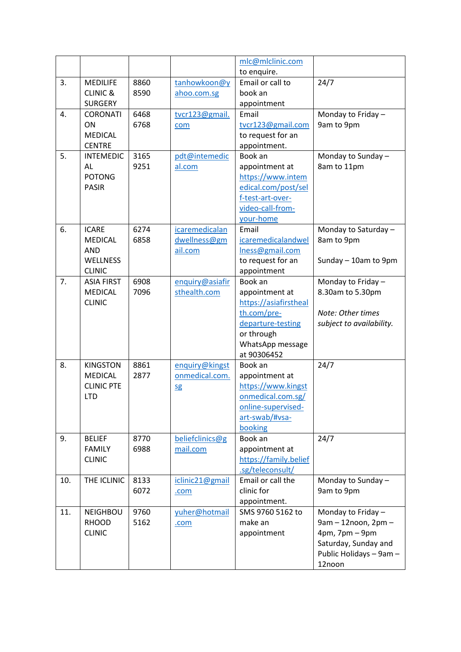|     |                     |      |                 | mlc@mlclinic.com                     |                          |
|-----|---------------------|------|-----------------|--------------------------------------|--------------------------|
|     |                     |      |                 | to enquire.                          |                          |
| 3.  | <b>MEDILIFE</b>     | 8860 | tanhowkoon@y    | Email or call to                     | 24/7                     |
|     | <b>CLINIC &amp;</b> | 8590 | ahoo.com.sg     | book an                              |                          |
|     | <b>SURGERY</b>      |      |                 | appointment                          |                          |
| 4.  | <b>CORONATI</b>     | 6468 | tvcr123@gmail.  | Email                                | Monday to Friday-        |
|     | ON                  | 6768 | com             | tvcr123@gmail.com                    | 9am to 9pm               |
|     | <b>MEDICAL</b>      |      |                 | to request for an                    |                          |
|     | <b>CENTRE</b>       |      |                 | appointment.                         |                          |
| 5.  | <b>INTEMEDIC</b>    | 3165 | pdt@intemedic   | Book an                              | Monday to Sunday -       |
|     | AL                  | 9251 | al.com          | appointment at                       | 8am to 11pm              |
|     | <b>POTONG</b>       |      |                 | https://www.intem                    |                          |
|     | <b>PASIR</b>        |      |                 | edical.com/post/sel                  |                          |
|     |                     |      |                 | f-test-art-over-                     |                          |
|     |                     |      |                 | video-call-from-                     |                          |
|     |                     |      |                 | your-home                            |                          |
| 6.  | <b>ICARE</b>        | 6274 | icaremedicalan  | Email                                | Monday to Saturday -     |
|     | <b>MEDICAL</b>      | 6858 | dwellness@gm    | icaremedicalandwel                   | 8am to 9pm               |
|     | <b>AND</b>          |      | ail.com         | Iness@gmail.com                      |                          |
|     | <b>WELLNESS</b>     |      |                 | to request for an                    | Sunday - 10am to 9pm     |
|     | <b>CLINIC</b>       |      |                 | appointment                          |                          |
| 7.  | <b>ASIA FIRST</b>   | 6908 | enquiry@asiafir | Book an                              | Monday to Friday-        |
|     | <b>MEDICAL</b>      | 7096 | sthealth.com    | appointment at                       | 8.30am to 5.30pm         |
|     | <b>CLINIC</b>       |      |                 | https://asiafirstheal<br>th.com/pre- | Note: Other times        |
|     |                     |      |                 | departure-testing                    | subject to availability. |
|     |                     |      |                 | or through                           |                          |
|     |                     |      |                 | WhatsApp message                     |                          |
|     |                     |      |                 | at 90306452                          |                          |
| 8.  | <b>KINGSTON</b>     | 8861 | enquiry@kingst  | Book an                              | 24/7                     |
|     | <b>MEDICAL</b>      | 2877 | onmedical.com.  | appointment at                       |                          |
|     | <b>CLINIC PTE</b>   |      | <b>Sg</b>       | https://www.kingst                   |                          |
|     | <b>LTD</b>          |      |                 | onmedical.com.sg/                    |                          |
|     |                     |      |                 | online-supervised-                   |                          |
|     |                     |      |                 | art-swab/#vsa-                       |                          |
|     |                     |      |                 | booking                              |                          |
| 9.  | <b>BELIEF</b>       | 8770 | beliefclinics@g | Book an                              | 24/7                     |
|     | <b>FAMILY</b>       | 6988 | mail.com        | appointment at                       |                          |
|     | <b>CLINIC</b>       |      |                 | https://family.belief                |                          |
|     |                     |      |                 | .sg/teleconsult/                     |                          |
| 10. | THE ICLINIC         | 8133 | iclinic21@gmail | Email or call the                    | Monday to Sunday -       |
|     |                     | 6072 | .com            | clinic for                           | 9am to 9pm               |
|     |                     |      |                 | appointment.                         |                          |
| 11. | <b>NEIGHBOU</b>     | 9760 | yuher@hotmail   | SMS 9760 5162 to                     | Monday to Friday -       |
|     | <b>RHOOD</b>        | 5162 | .com            | make an                              | 9am - 12noon, 2pm -      |
|     | <b>CLINIC</b>       |      |                 | appointment                          | 4pm, 7pm - 9pm           |
|     |                     |      |                 |                                      | Saturday, Sunday and     |
|     |                     |      |                 |                                      | Public Holidays - 9am -  |
|     |                     |      |                 |                                      | 12noon                   |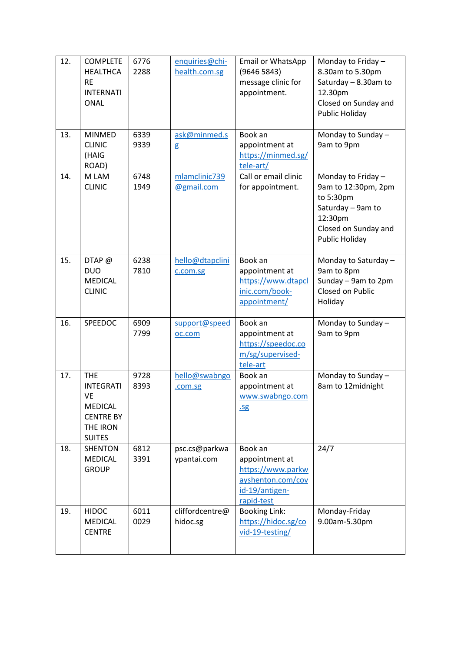| 12. | <b>COMPLETE</b><br><b>HEALTHCA</b><br><b>RE</b><br><b>INTERNATI</b><br><b>ONAL</b>                      | 6776<br>2288 | enquiries@chi-<br>health.com.sg | Email or WhatsApp<br>(96465843)<br>message clinic for<br>appointment.                               | Monday to Friday $-$<br>8.30am to 5.30pm<br>Saturday - 8.30am to<br>12.30pm<br>Closed on Sunday and<br>Public Holiday            |
|-----|---------------------------------------------------------------------------------------------------------|--------------|---------------------------------|-----------------------------------------------------------------------------------------------------|----------------------------------------------------------------------------------------------------------------------------------|
| 13. | <b>MINMED</b><br><b>CLINIC</b><br>(HAIG<br>ROAD)                                                        | 6339<br>9339 | ask@minmed.s<br>g               | Book an<br>appointment at<br>https://minmed.sg/<br>tele-art/                                        | Monday to Sunday -<br>9am to 9pm                                                                                                 |
| 14. | M LAM<br><b>CLINIC</b>                                                                                  | 6748<br>1949 | mlamclinic739<br>@gmail.com     | Call or email clinic<br>for appointment.                                                            | Monday to Friday -<br>9am to 12:30pm, 2pm<br>to 5:30pm<br>Saturday - 9am to<br>12:30pm<br>Closed on Sunday and<br>Public Holiday |
| 15. | $DTAP$ @<br><b>DUO</b><br><b>MEDICAL</b><br><b>CLINIC</b>                                               | 6238<br>7810 | hello@dtapclini<br>c.com.sg     | Book an<br>appointment at<br>https://www.dtapcl<br>inic.com/book-<br>appointment/                   | Monday to Saturday -<br>9am to 8pm<br>Sunday - 9am to 2pm<br>Closed on Public<br>Holiday                                         |
| 16. | SPEEDOC                                                                                                 | 6909<br>7799 | support@speed<br>oc.com         | Book an<br>appointment at<br>https://speedoc.co<br>m/sg/supervised-<br>tele-art                     | Monday to Sunday -<br>9am to 9pm                                                                                                 |
| 17. | <b>THE</b><br><b>INTEGRATI</b><br>VE<br><b>MEDICAL</b><br><b>CENTRE BY</b><br>THE IRON<br><b>SUITES</b> | 9728<br>8393 | hello@swabngo<br>.com.sg        | Book an<br>appointment at<br>www.swabngo.com<br>.5g                                                 | Monday to Sunday -<br>8am to 12midnight                                                                                          |
| 18. | <b>SHENTON</b><br><b>MEDICAL</b><br><b>GROUP</b>                                                        | 6812<br>3391 | psc.cs@parkwa<br>ypantai.com    | Book an<br>appointment at<br>https://www.parkw<br>ayshenton.com/cov<br>id-19/antigen-<br>rapid-test | 24/7                                                                                                                             |
| 19. | <b>HIDOC</b><br><b>MEDICAL</b><br><b>CENTRE</b>                                                         | 6011<br>0029 | cliffordcentre@<br>hidoc.sg     | <b>Booking Link:</b><br>https://hidoc.sg/co<br>vid-19-testing/                                      | Monday-Friday<br>9.00am-5.30pm                                                                                                   |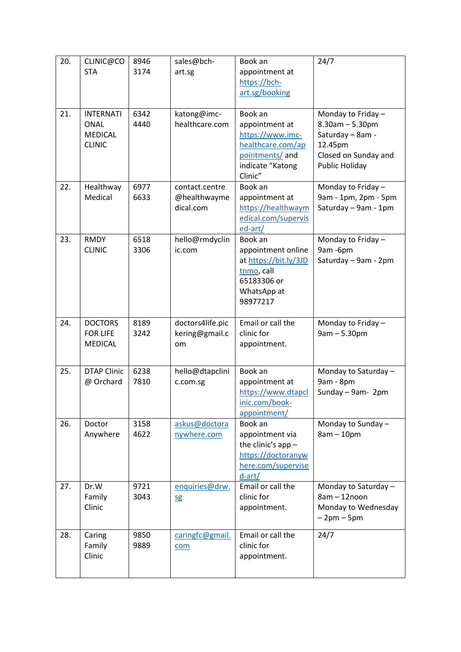| 20. | CLINIC@CO<br><b>STA</b>                                            | 8946<br>3174 | sales@bch-<br>art.sg                        | Book an<br>appointment at<br>https://bch-<br>art.sg/booking                                                          | 24/7                                                                                                                        |
|-----|--------------------------------------------------------------------|--------------|---------------------------------------------|----------------------------------------------------------------------------------------------------------------------|-----------------------------------------------------------------------------------------------------------------------------|
| 21. | <b>INTERNATI</b><br><b>ONAL</b><br><b>MEDICAL</b><br><b>CLINIC</b> | 6342<br>4440 | katong@imc-<br>healthcare.com               | Book an<br>appointment at<br>https://www.imc-<br>healthcare.com/ap<br>pointments/ and<br>indicate "Katong<br>Clinic" | Monday to Friday -<br>$8.30$ am $- 5.30$ pm<br>Saturday - 8am -<br>12.45pm<br>Closed on Sunday and<br><b>Public Holiday</b> |
| 22. | Healthway<br>Medical                                               | 6977<br>6633 | contact.centre<br>@healthwayme<br>dical.com | Book an<br>appointment at<br>https://healthwaym<br>edical.com/supervis<br>ed-art/                                    | Monday to Friday -<br>9am - 1pm, 2pm - 5pm<br>Saturday - 9am - 1pm                                                          |
| 23. | <b>RMDY</b><br><b>CLINIC</b>                                       | 6518<br>3306 | hello@rmdyclin<br>ic.com                    | Book an<br>appointment online<br>at https://bit.ly/3JD<br>tnmo, call<br>65183306 or<br>WhatsApp at<br>98977217       | Monday to Friday -<br>9am - 6pm<br>Saturday - 9am - 2pm                                                                     |
| 24. | <b>DOCTORS</b><br><b>FOR LIFE</b><br><b>MEDICAL</b>                | 8189<br>3242 | doctors4life.pic<br>kering@gmail.c<br>om    | Email or call the<br>clinic for<br>appointment.                                                                      | Monday to Friday -<br>$9am - 5.30pm$                                                                                        |
| 25. | <b>DTAP Clinic</b><br>@ Orchard                                    | 6238<br>7810 | hello@dtapclini<br>c.com.sg                 | Book an<br>appointment at<br>https://www.dtapcl<br>inic.com/book-<br>appointment/                                    | Monday to Saturday -<br>9am - 8pm<br>Sunday - 9am- 2pm                                                                      |
| 26. | Doctor<br>Anywhere                                                 | 3158<br>4622 | askus@doctora<br>nywhere.com                | Book an<br>appointment via<br>the clinic's $app -$<br>https://doctoranyw<br>here.com/supervise<br>$d$ -art/          | Monday to Sunday -<br>$8am - 10pm$                                                                                          |
| 27. | Dr.W<br>Family<br>Clinic                                           | 9721<br>3043 | enquiries@drw.<br><b>Sg</b>                 | Email or call the<br>clinic for<br>appointment.                                                                      | Monday to Saturday -<br>$8am - 12noon$<br>Monday to Wednesday<br>$-2pm-5pm$                                                 |
| 28. | Caring<br>Family<br>Clinic                                         | 9850<br>9889 | caringfc@gmail.<br>com                      | Email or call the<br>clinic for<br>appointment.                                                                      | 24/7                                                                                                                        |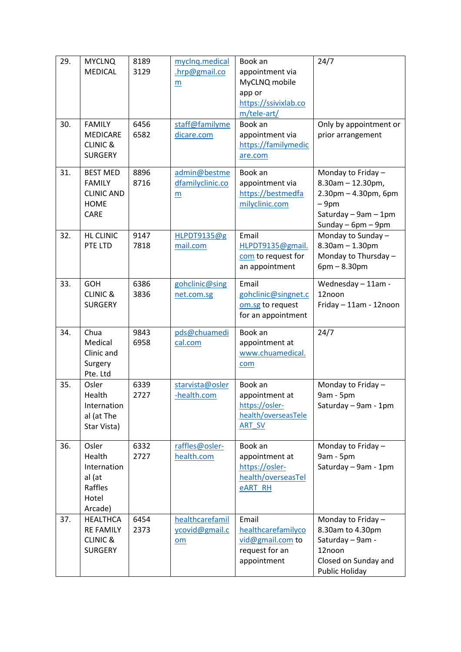| 29. | <b>MYCLNQ</b><br><b>MEDICAL</b>                                                     | 8189<br>3129 | myclnq.medical<br>.hrp@gmail.co<br>m                | Book an<br>appointment via<br>MyCLNQ mobile<br>app or<br>https://ssivixlab.co<br>m/tele-art/ | 24/7                                                                                                                                    |
|-----|-------------------------------------------------------------------------------------|--------------|-----------------------------------------------------|----------------------------------------------------------------------------------------------|-----------------------------------------------------------------------------------------------------------------------------------------|
| 30. | <b>FAMILY</b><br><b>MEDICARE</b><br><b>CLINIC &amp;</b><br><b>SURGERY</b>           | 6456<br>6582 | staff@familyme<br>dicare.com                        | Book an<br>appointment via<br>https://familymedic<br>are.com                                 | Only by appointment or<br>prior arrangement                                                                                             |
| 31. | <b>BEST MED</b><br><b>FAMILY</b><br><b>CLINIC AND</b><br><b>HOME</b><br><b>CARE</b> | 8896<br>8716 | admin@bestme<br>dfamilyclinic.co<br>$\underline{m}$ | Book an<br>appointment via<br>https://bestmedfa<br>milyclinic.com                            | Monday to Friday -<br>$8.30$ am $- 12.30$ pm,<br>$2.30$ pm $- 4.30$ pm, 6pm<br>$-9pm$<br>Saturday - 9am - 1pm<br>Sunday $-$ 6pm $-$ 9pm |
| 32. | <b>HL CLINIC</b><br>PTE LTD                                                         | 9147<br>7818 | HLPDT9135@g<br>mail.com                             | Email<br>HLPDT9135@gmail.<br>com to request for<br>an appointment                            | Monday to Sunday -<br>$8.30$ am $- 1.30$ pm<br>Monday to Thursday -<br>$6pm - 8.30pm$                                                   |
| 33. | <b>GOH</b><br><b>CLINIC &amp;</b><br><b>SURGERY</b>                                 | 6386<br>3836 | gohclinic@sing<br>net.com.sg                        | Email<br>gohclinic@singnet.c<br>om.sg to request<br>for an appointment                       | Wednesday - 11am -<br>12noon<br>Friday - 11am - 12noon                                                                                  |
| 34. | Chua<br>Medical<br>Clinic and<br>Surgery<br>Pte. Ltd                                | 9843<br>6958 | pds@chuamedi<br>cal.com                             | Book an<br>appointment at<br>www.chuamedical.<br>com                                         | 24/7                                                                                                                                    |
| 35. | Osler<br>Health<br>Internation<br>al (at The<br>Star Vista)                         | 6339<br>2727 | starvista@osler<br>-health.com                      | Book an<br>appointment at<br>https://osler-<br>health/overseasTele<br><b>ART SV</b>          | Monday to Friday -<br>9am - 5pm<br>Saturday - 9am - 1pm                                                                                 |
| 36. | Osler<br>Health<br>Internation<br>al (at<br>Raffles<br>Hotel<br>Arcade)             | 6332<br>2727 | raffles@osler-<br>health.com                        | Book an<br>appointment at<br>https://osler-<br>health/overseasTel<br><b>eART RH</b>          | Monday to Friday $-$<br>9am - 5pm<br>Saturday - 9am - 1pm                                                                               |
| 37. | <b>HEALTHCA</b><br><b>RE FAMILY</b><br><b>CLINIC &amp;</b><br><b>SURGERY</b>        | 6454<br>2373 | healthcarefamil<br>ycovid@gmail.c<br>om             | Email<br>healthcarefamilyco<br>vid@gmail.com to<br>request for an<br>appointment             | Monday to Friday $-$<br>8.30am to 4.30pm<br>Saturday - 9am -<br>12noon<br>Closed on Sunday and<br>Public Holiday                        |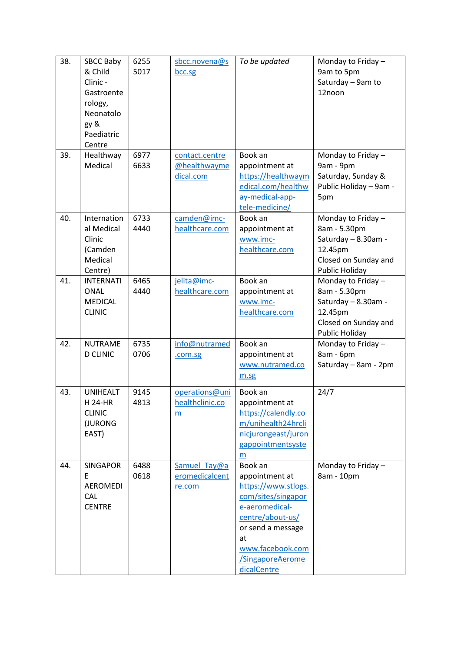| 38. | <b>SBCC Baby</b><br>& Child<br>Clinic -<br>Gastroente<br>rology,<br>Neonatolo<br>gy &<br>Paediatric<br>Centre | 6255<br>5017 | sbcc.novena@s<br>bcc.sg                     | To be updated                                                                                                                                                                                  | Monday to Friday -<br>9am to 5pm<br>Saturday - 9am to<br>12noon                                                |
|-----|---------------------------------------------------------------------------------------------------------------|--------------|---------------------------------------------|------------------------------------------------------------------------------------------------------------------------------------------------------------------------------------------------|----------------------------------------------------------------------------------------------------------------|
| 39. | Healthway<br>Medical                                                                                          | 6977<br>6633 | contact.centre<br>@healthwayme<br>dical.com | Book an<br>appointment at<br>https://healthwaym<br>edical.com/healthw<br>ay-medical-app-<br>tele-medicine/                                                                                     | Monday to Friday -<br>9am - 9pm<br>Saturday, Sunday &<br>Public Holiday - 9am -<br>5pm                         |
| 40. | Internation<br>al Medical<br>Clinic<br>(Camden<br>Medical<br>Centre)                                          | 6733<br>4440 | camden@imc-<br>healthcare.com               | Book an<br>appointment at<br>www.imc-<br>healthcare.com                                                                                                                                        | Monday to Friday -<br>8am - 5.30pm<br>Saturday - 8.30am -<br>12.45pm<br>Closed on Sunday and<br>Public Holiday |
| 41. | <b>INTERNATI</b><br><b>ONAL</b><br><b>MEDICAL</b><br><b>CLINIC</b>                                            | 6465<br>4440 | jelita@imc-<br>healthcare.com               | Book an<br>appointment at<br>www.imc-<br>healthcare.com                                                                                                                                        | Monday to Friday -<br>8am - 5.30pm<br>Saturday - 8.30am -<br>12.45pm<br>Closed on Sunday and<br>Public Holiday |
| 42. | <b>NUTRAME</b><br><b>D CLINIC</b>                                                                             | 6735<br>0706 | info@nutramed<br>.com.sg                    | Book an<br>appointment at<br>www.nutramed.co<br>m.sg                                                                                                                                           | Monday to Friday -<br>8am - 6pm<br>Saturday - 8am - 2pm                                                        |
| 43. | <b>UNIHEALT</b><br><b>H24-HR</b><br><b>CLINIC</b><br>(JURONG<br>EAST)                                         | 9145<br>4813 | operations@uni<br>healthclinic.co<br>m      | Book an<br>appointment at<br>https://calendly.co<br>m/unihealth24hrcli<br>nicjurongeast/juron<br>gappointmentsyste<br>m                                                                        | 24/7                                                                                                           |
| 44. | <b>SINGAPOR</b><br>E<br><b>AEROMEDI</b><br>CAL<br><b>CENTRE</b>                                               | 6488<br>0618 | Samuel Tay@a<br>eromedicalcent<br>re.com    | Book an<br>appointment at<br>https://www.stlogs.<br>com/sites/singapor<br>e-aeromedical-<br>centre/about-us/<br>or send a message<br>at<br>www.facebook.com<br>/SingaporeAerome<br>dicalCentre | Monday to Friday -<br>8am - 10pm                                                                               |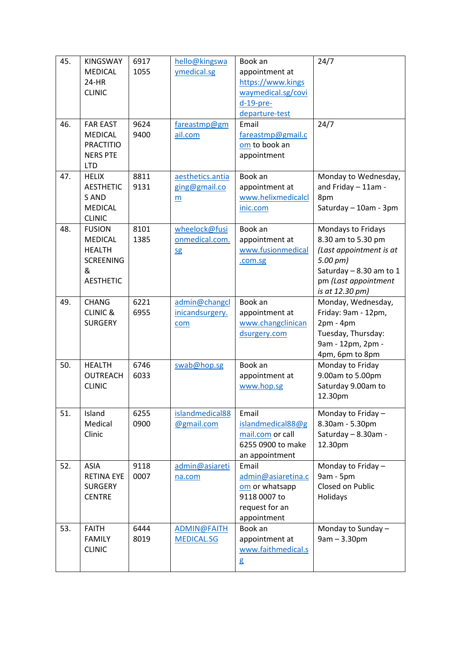| 45. | <b>KINGSWAY</b>                  | 6917         | hello@kingswa                     | Book an                           | 24/7                                        |
|-----|----------------------------------|--------------|-----------------------------------|-----------------------------------|---------------------------------------------|
|     | <b>MEDICAL</b>                   | 1055         | ymedical.sg                       | appointment at                    |                                             |
|     | 24-HR                            |              |                                   | https://www.kings                 |                                             |
|     | <b>CLINIC</b>                    |              |                                   | waymedical.sg/covi                |                                             |
|     |                                  |              |                                   | $d-19-pre-$                       |                                             |
|     |                                  |              |                                   | departure-test                    |                                             |
| 46. | <b>FAR EAST</b>                  | 9624         | fareastmp@gm                      | Email                             | 24/7                                        |
|     | <b>MEDICAL</b>                   | 9400         | ail.com                           | fareastmp@gmail.c                 |                                             |
|     | <b>PRACTITIO</b>                 |              |                                   | om to book an                     |                                             |
|     | <b>NERS PTE</b>                  |              |                                   | appointment                       |                                             |
|     | <b>LTD</b>                       |              |                                   |                                   |                                             |
| 47. | <b>HELIX</b><br><b>AESTHETIC</b> | 8811<br>9131 | aesthetics.antia<br>ging@gmail.co | Book an<br>appointment at         | Monday to Wednesday,<br>and Friday - 11am - |
|     | S AND                            |              |                                   | www.helixmedicalcl                | 8pm                                         |
|     | <b>MEDICAL</b>                   |              | $\underline{m}$                   | inic.com                          | Saturday - 10am - 3pm                       |
|     | <b>CLINIC</b>                    |              |                                   |                                   |                                             |
| 48. | <b>FUSION</b>                    | 8101         | wheelock@fusi                     | Book an                           | Mondays to Fridays                          |
|     | MEDICAL                          | 1385         | onmedical.com.                    | appointment at                    | 8.30 am to 5.30 pm                          |
|     | <b>HEALTH</b>                    |              | <b>Sg</b>                         | www.fusionmedical                 | (Last appointment is at                     |
|     | <b>SCREENING</b>                 |              |                                   | .com.sg                           | $5.00$ pm)                                  |
|     | &                                |              |                                   |                                   | Saturday - 8.30 am to 1                     |
|     | <b>AESTHETIC</b>                 |              |                                   |                                   | pm (Last appointment                        |
|     |                                  |              |                                   |                                   | is at 12.30 pm)                             |
| 49. | <b>CHANG</b>                     | 6221         | admin@changcl                     | Book an                           | Monday, Wednesday,                          |
|     | <b>CLINIC &amp;</b>              | 6955         | inicandsurgery.                   | appointment at                    | Friday: 9am - 12pm,                         |
|     | <b>SURGERY</b>                   |              | com                               | www.changclinican<br>dsurgery.com | $2pm - 4pm$<br>Tuesday, Thursday:           |
|     |                                  |              |                                   |                                   | 9am - 12pm, 2pm -                           |
|     |                                  |              |                                   |                                   | 4pm, 6pm to 8pm                             |
| 50. | <b>HEALTH</b>                    | 6746         | swab@hop.sg                       | Book an                           | Monday to Friday                            |
|     | <b>OUTREACH</b>                  | 6033         |                                   | appointment at                    | 9.00am to 5.00pm                            |
|     | <b>CLINIC</b>                    |              |                                   | www.hop.sg                        | Saturday 9.00am to                          |
|     |                                  |              |                                   |                                   | 12.30pm                                     |
| 51. | Island                           | 6255         | islandmedical88                   | Email                             | Monday to Friday -                          |
|     | Medical                          | 0900         | @gmail.com                        | islandmedical88@g                 | 8.30am - 5.30pm                             |
|     | Clinic                           |              |                                   | mail.com or call                  | Saturday - 8.30am -                         |
|     |                                  |              |                                   | 6255 0900 to make                 | 12.30pm                                     |
|     |                                  |              |                                   | an appointment                    |                                             |
| 52. | <b>ASIA</b>                      | 9118         | admin@asiareti                    | Email                             | Monday to Friday -                          |
|     | <b>RETINA EYE</b>                | 0007         | na.com                            | admin@asiaretina.c                | 9am - 5pm                                   |
|     | <b>SURGERY</b>                   |              |                                   | om or whatsapp                    | Closed on Public                            |
|     | <b>CENTRE</b>                    |              |                                   | 9118 0007 to                      | Holidays                                    |
|     |                                  |              |                                   | request for an                    |                                             |
|     |                                  |              |                                   | appointment                       |                                             |
| 53. | <b>FAITH</b>                     | 6444         | ADMIN@FAITH                       | Book an                           | Monday to Sunday -                          |
|     | <b>FAMILY</b>                    | 8019         | <b>MEDICAL.SG</b>                 | appointment at                    | $9am - 3.30pm$                              |
|     | <b>CLINIC</b>                    |              |                                   | www.faithmedical.s                |                                             |
|     |                                  |              |                                   | g                                 |                                             |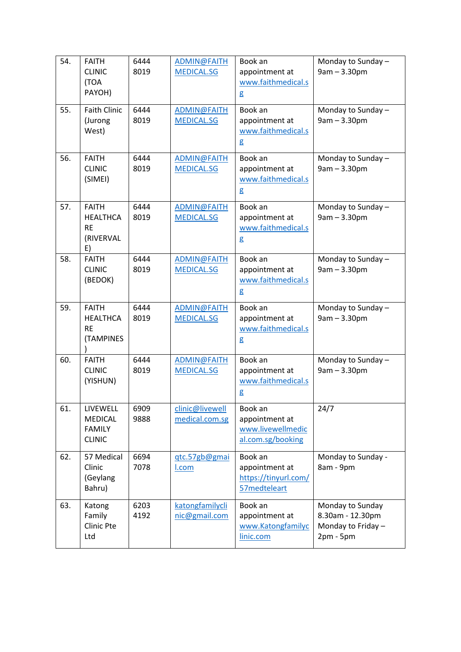| 54. | <b>FAITH</b><br><b>CLINIC</b><br>(TOA<br>PAYOH)                 | 6444<br>8019 | ADMIN@FAITH<br><b>MEDICAL.SG</b>  | Book an<br>appointment at<br>www.faithmedical.s<br>g                | Monday to Sunday -<br>$9am - 3.30pm$                                     |
|-----|-----------------------------------------------------------------|--------------|-----------------------------------|---------------------------------------------------------------------|--------------------------------------------------------------------------|
| 55. | <b>Faith Clinic</b><br>(Jurong<br>West)                         | 6444<br>8019 | ADMIN@FAITH<br><b>MEDICAL.SG</b>  | Book an<br>appointment at<br>www.faithmedical.s<br>g                | Monday to Sunday -<br>$9am - 3.30pm$                                     |
| 56. | <b>FAITH</b><br><b>CLINIC</b><br>(SIMEI)                        | 6444<br>8019 | ADMIN@FAITH<br><b>MEDICAL.SG</b>  | Book an<br>appointment at<br>www.faithmedical.s<br>g                | Monday to Sunday -<br>$9am - 3.30pm$                                     |
| 57. | <b>FAITH</b><br><b>HEALTHCA</b><br><b>RE</b><br>(RIVERVAL<br>E) | 6444<br>8019 | ADMIN@FAITH<br><b>MEDICAL.SG</b>  | Book an<br>appointment at<br>www.faithmedical.s<br>g                | Monday to Sunday -<br>$9am - 3.30pm$                                     |
| 58. | <b>FAITH</b><br><b>CLINIC</b><br>(BEDOK)                        | 6444<br>8019 | ADMIN@FAITH<br><b>MEDICAL.SG</b>  | Book an<br>appointment at<br>www.faithmedical.s<br>g                | Monday to Sunday -<br>$9am - 3.30pm$                                     |
| 59. | <b>FAITH</b><br><b>HEALTHCA</b><br><b>RE</b><br>(TAMPINES       | 6444<br>8019 | ADMIN@FAITH<br><b>MEDICAL.SG</b>  | Book an<br>appointment at<br>www.faithmedical.s<br>g                | Monday to Sunday -<br>$9am - 3.30pm$                                     |
| 60. | <b>FAITH</b><br><b>CLINIC</b><br>(YISHUN)                       | 6444<br>8019 | ADMIN@FAITH<br><b>MEDICAL.SG</b>  | Book an<br>appointment at<br>www.faithmedical.s<br>g                | Monday to Sunday -<br>$9am - 3.30pm$                                     |
| 61. | LIVEWELL<br><b>MEDICAL</b><br><b>FAMILY</b><br><b>CLINIC</b>    | 6909<br>9888 | clinic@livewell<br>medical.com.sg | Book an<br>appointment at<br>www.livewellmedic<br>al.com.sg/booking | 24/7                                                                     |
| 62. | 57 Medical<br>Clinic<br>(Geylang<br>Bahru)                      | 6694<br>7078 | gtc.57gb@gmai<br>I.com            | Book an<br>appointment at<br>https://tinyurl.com/<br>57medteleart   | Monday to Sunday -<br>8am - 9pm                                          |
| 63. | Katong<br>Family<br>Clinic Pte<br>Ltd                           | 6203<br>4192 | katongfamilycli<br>nic@gmail.com  | Book an<br>appointment at<br>www.Katongfamilyc<br>linic.com         | Monday to Sunday<br>8.30am - 12.30pm<br>Monday to Friday-<br>$2pm - 5pm$ |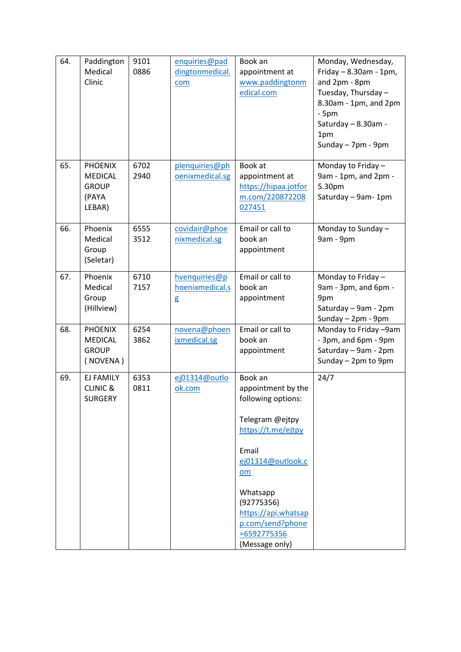| 64. | Paddington<br>Medical<br>Clinic                                     | 9101<br>0886 | enquiries@pad<br>dingtonmedical.<br>com | Book an<br>appointment at<br>www.paddingtonm<br>edical.com                                                                                                                                                                                  | Monday, Wednesday,<br>Friday $-8.30$ am - 1pm,<br>and 2pm - 8pm<br>Tuesday, Thursday-<br>8.30am - 1pm, and 2pm<br>$-5pm$<br>Saturday - 8.30am -<br>1pm<br>Sunday - 7pm - 9pm |
|-----|---------------------------------------------------------------------|--------------|-----------------------------------------|---------------------------------------------------------------------------------------------------------------------------------------------------------------------------------------------------------------------------------------------|------------------------------------------------------------------------------------------------------------------------------------------------------------------------------|
| 65. | <b>PHOENIX</b><br><b>MEDICAL</b><br><b>GROUP</b><br>(PAYA<br>LEBAR) | 6702<br>2940 | plenquiries@ph<br>oenixmedical.sg       | Book at<br>appointment at<br>https://hipaa.jotfor<br>m.com/220872208<br>027451                                                                                                                                                              | Monday to Friday -<br>9am - 1pm, and 2pm -<br>5.30pm<br>Saturday - 9am-1pm                                                                                                   |
| 66. | Phoenix<br>Medical<br>Group<br>(Seletar)                            | 6555<br>3512 | covidair@phoe<br>nixmedical.sg          | Email or call to<br>book an<br>appointment                                                                                                                                                                                                  | Monday to Sunday -<br>9am - 9pm                                                                                                                                              |
| 67. | Phoenix<br>Medical<br>Group<br>(Hillview)                           | 6710<br>7157 | hvenquiries@p<br>hoenixmedical.s<br>g   | Email or call to<br>book an<br>appointment                                                                                                                                                                                                  | Monday to Friday -<br>9am - 3pm, and 6pm -<br>9pm<br>Saturday - 9am - 2pm<br>Sunday - 2pm - 9pm                                                                              |
| 68. | <b>PHOENIX</b><br><b>MEDICAL</b><br><b>GROUP</b><br>(NOVENA)        | 6254<br>3862 | novena@phoen<br>ixmedical.sg            | Email or call to<br>book an<br>appointment                                                                                                                                                                                                  | Monday to Friday -9am<br>- 3pm, and 6pm - 9pm<br>Saturday - 9am - 2pm<br>Sunday - 2pm to 9pm                                                                                 |
| 69. | EJ FAMILY<br><b>CLINIC &amp;</b><br><b>SURGERY</b>                  | 6353<br>0811 | ej01314@outlo<br>ok.com                 | Book an<br>appointment by the<br>following options:<br>Telegram @ejtpy<br>https://t.me/ejtpy<br>Email<br>ej01314@outlook.c<br>$om$<br>Whatsapp<br>(92775356)<br>https://api.whatsap<br>p.com/send?phone<br>$= 6592775356$<br>(Message only) | 24/7                                                                                                                                                                         |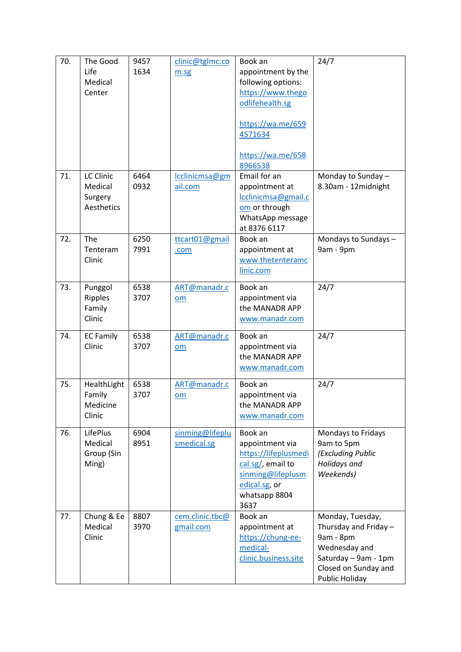| 70. | The Good<br>Life<br>Medical<br>Center         | 9457<br>1634 | clinic@tglmc.co<br>m.sg        | Book an<br>appointment by the<br>following options:<br>https://www.thego<br>odlifehealth.sg<br>https://wa.me/659<br>4571634<br>https://wa.me/658<br>8966538 | 24/7                                                                                                                                      |
|-----|-----------------------------------------------|--------------|--------------------------------|-------------------------------------------------------------------------------------------------------------------------------------------------------------|-------------------------------------------------------------------------------------------------------------------------------------------|
| 71. | LC Clinic<br>Medical<br>Surgery<br>Aesthetics | 6464<br>0932 | lcclinicmsa@gm<br>ail.com      | Email for an<br>appointment at<br>lcclinicmsa@gmail.c<br>om or through<br>WhatsApp message<br>at 8376 6117                                                  | Monday to Sunday -<br>8.30am - 12midnight                                                                                                 |
| 72. | The<br>Tenteram<br>Clinic                     | 6250<br>7991 | ttcart01@gmail<br>.com         | Book an<br>appointment at<br>www.thetenteramc<br>linic.com                                                                                                  | Mondays to Sundays-<br>9am - 9pm                                                                                                          |
| 73. | Punggol<br>Ripples<br>Family<br>Clinic        | 6538<br>3707 | ART@manadr.c<br>om             | Book an<br>appointment via<br>the MANADR APP<br>www.manadr.com                                                                                              | 24/7                                                                                                                                      |
| 74. | <b>EC Family</b><br>Clinic                    | 6538<br>3707 | ART@manadr.c<br>om             | Book an<br>appointment via<br>the MANADR APP<br>www.manadr.com                                                                                              | 24/7                                                                                                                                      |
| 75. | HealthLight<br>Family<br>Medicine<br>Clinic   | 6538<br>3707 | ART@manadr.c<br>om             | Book an<br>appointment via<br>the MANADR APP<br>www.manadr.com                                                                                              | 24/7                                                                                                                                      |
| 76. | LifePlus<br>Medical<br>Group (Sin<br>Ming)    | 6904<br>8951 | sinming@lifeplu<br>smedical.sg | Book an<br>appointment via<br>https://lifeplusmedi<br>cal.sg/, email to<br>sinming@lifeplusm<br>edical.sg, or<br>whatsapp 8804<br>3637                      | Mondays to Fridays<br>9am to 5pm<br>(Excluding Public<br>Holidays and<br>Weekends)                                                        |
| 77. | Chung & Ee<br>Medical<br>Clinic               | 8807<br>3970 | cem.clinic.tbc@<br>gmail.com   | Book an<br>appointment at<br>https://chung-ee-<br>medical-<br>clinic.business.site                                                                          | Monday, Tuesday,<br>Thursday and Friday -<br>9am - 8pm<br>Wednesday and<br>Saturday - 9am - 1pm<br>Closed on Sunday and<br>Public Holiday |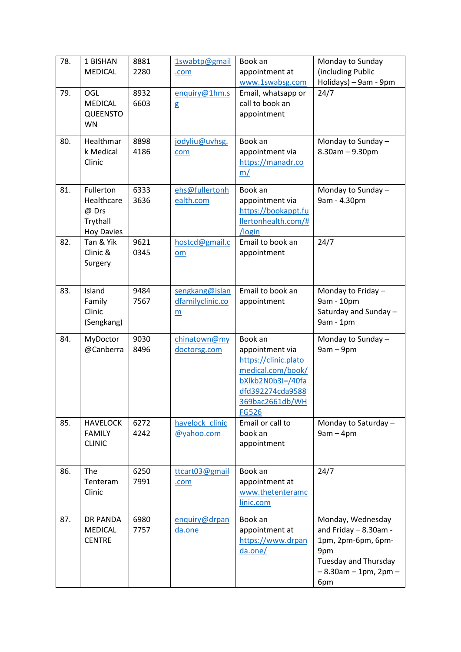| 78. | 1 BISHAN<br><b>MEDICAL</b>                                        | 8881<br>2280 | 1swabtp@gmail<br>.com                                 | Book an<br>appointment at<br>www.1swabsg.com                                                                                                        | Monday to Sunday<br>(including Public<br>Holidays) - 9am - 9pm                                                                        |
|-----|-------------------------------------------------------------------|--------------|-------------------------------------------------------|-----------------------------------------------------------------------------------------------------------------------------------------------------|---------------------------------------------------------------------------------------------------------------------------------------|
| 79. | OGL<br><b>MEDICAL</b><br><b>QUEENSTO</b><br><b>WN</b>             | 8932<br>6603 | enquiry@1hm.s<br>g                                    | Email, whatsapp or<br>call to book an<br>appointment                                                                                                | 24/7                                                                                                                                  |
| 80. | Healthmar<br>k Medical<br>Clinic                                  | 8898<br>4186 | jodyliu@uvhsg.<br>com                                 | Book an<br>appointment via<br>https://manadr.co<br>m/                                                                                               | Monday to Sunday -<br>$8.30$ am $- 9.30$ pm                                                                                           |
| 81. | Fullerton<br>Healthcare<br>@ Drs<br>Trythall<br><b>Hoy Davies</b> | 6333<br>3636 | ehs@fullertonh<br>ealth.com                           | Book an<br>appointment via<br>https://bookappt.fu<br>llertonhealth.com/#<br>/login                                                                  | Monday to Sunday -<br>9am - 4.30pm                                                                                                    |
| 82. | Tan & Yik<br>Clinic &<br>Surgery                                  | 9621<br>0345 | hostcd@gmail.c<br>$om$                                | Email to book an<br>appointment                                                                                                                     | 24/7                                                                                                                                  |
| 83. | Island<br>Family<br>Clinic<br>(Sengkang)                          | 9484<br>7567 | sengkang@islan<br>dfamilyclinic.co<br>$\underline{m}$ | Email to book an<br>appointment                                                                                                                     | Monday to Friday -<br>9am - 10pm<br>Saturday and Sunday -<br>9am - 1pm                                                                |
| 84. | MyDoctor<br>@Canberra                                             | 9030<br>8496 | chinatown@my<br>doctorsg.com                          | Book an<br>appointment via<br>https://clinic.plato<br>medical.com/book/<br>bXlkb2N0b3I=/40fa<br>dfd392274cda9588<br>369bac2661db/WH<br><b>FG526</b> | Monday to Sunday -<br>$9am - 9pm$                                                                                                     |
| 85. | <b>HAVELOCK</b><br><b>FAMILY</b><br><b>CLINIC</b>                 | 6272<br>4242 | havelock clinic<br>@yahoo.com                         | Email or call to<br>book an<br>appointment                                                                                                          | Monday to Saturday -<br>$9am - 4pm$                                                                                                   |
| 86. | The<br>Tenteram<br>Clinic                                         | 6250<br>7991 | ttcart03@gmail<br>.com                                | Book an<br>appointment at<br>www.thetenteramc<br>linic.com                                                                                          | 24/7                                                                                                                                  |
| 87. | <b>DR PANDA</b><br><b>MEDICAL</b><br><b>CENTRE</b>                | 6980<br>7757 | enquiry@drpan<br>da.one                               | Book an<br>appointment at<br>https://www.drpan<br>da.one/                                                                                           | Monday, Wednesday<br>and Friday - 8.30am -<br>1pm, 2pm-6pm, 6pm-<br>9pm<br>Tuesday and Thursday<br>$-8.30$ am $-1$ pm, 2pm $-$<br>6pm |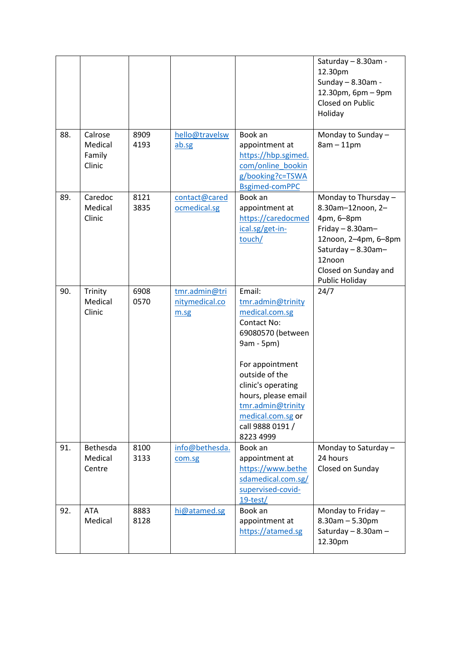|     |                                        |              |                                         |                                                                                                                                                                                                                                                                     | Saturday - 8.30am -<br>12.30pm<br>Sunday - 8.30am -<br>12.30pm, 6pm - 9pm<br>Closed on Public<br>Holiday                                                                           |
|-----|----------------------------------------|--------------|-----------------------------------------|---------------------------------------------------------------------------------------------------------------------------------------------------------------------------------------------------------------------------------------------------------------------|------------------------------------------------------------------------------------------------------------------------------------------------------------------------------------|
| 88. | Calrose<br>Medical<br>Family<br>Clinic | 8909<br>4193 | hello@travelsw<br>ab.sg                 | Book an<br>appointment at<br>https://hbp.sgimed.<br>com/online_bookin<br>g/booking?c=TSWA<br><b>Bsgimed-comPPC</b>                                                                                                                                                  | Monday to Sunday -<br>$8am - 11pm$                                                                                                                                                 |
| 89. | Caredoc<br>Medical<br>Clinic           | 8121<br>3835 | contact@cared<br>ocmedical.sg           | Book an<br>appointment at<br>https://caredocmed<br>ical.sg/get-in-<br>touch/                                                                                                                                                                                        | Monday to Thursday -<br>8.30am-12noon, 2-<br>4pm, 6-8pm<br>Friday $-8.30$ am $-$<br>12noon, 2-4pm, 6-8pm<br>Saturday - 8.30am-<br>12noon<br>Closed on Sunday and<br>Public Holiday |
| 90. | Trinity<br>Medical<br>Clinic           | 6908<br>0570 | tmr.admin@tri<br>nitymedical.co<br>m.sg | Email:<br>tmr.admin@trinity<br>medical.com.sg<br><b>Contact No:</b><br>69080570 (between<br>9am - 5pm)<br>For appointment<br>outside of the<br>clinic's operating<br>hours, please email<br>tmr.admin@trinity<br>medical.com.sg or<br>call 9888 0191 /<br>8223 4999 | 24/7                                                                                                                                                                               |
| 91. | Bethesda<br>Medical<br>Centre          | 8100<br>3133 | info@bethesda.<br>com.sg                | Book an<br>appointment at<br>https://www.bethe<br>sdamedical.com.sg/<br>supervised-covid-<br>$19$ -test/                                                                                                                                                            | Monday to Saturday -<br>24 hours<br>Closed on Sunday                                                                                                                               |
| 92. | <b>ATA</b><br>Medical                  | 8883<br>8128 | hi@atamed.sg                            | Book an<br>appointment at<br>https://atamed.sg                                                                                                                                                                                                                      | Monday to Friday -<br>$8.30$ am $- 5.30$ pm<br>Saturday - 8.30am -<br>12.30pm                                                                                                      |